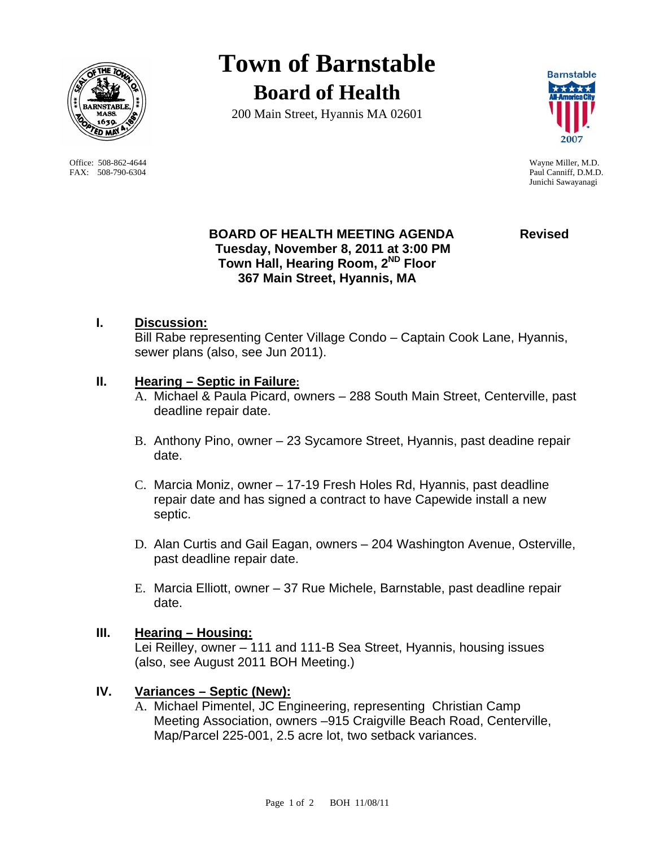

Office: 508-862-4644 Wayne Miller, M.D. FAX: 508-790-6304 Paul Canniff, D.M.D.

# **Town of Barnstable Board of Health**

200 Main Street, Hyannis MA 02601



Junichi Sawayanagi

### **BOARD OF HEALTH MEETING AGENDA Revised Tuesday, November 8, 2011 at 3:00 PM Town Hall, Hearing Room, 2ND Floor 367 Main Street, Hyannis, MA**

**I. Discussion:** Bill Rabe representing Center Village Condo – Captain Cook Lane, Hyannis, sewer plans (also, see Jun 2011).

# **II. Hearing – Septic in Failure:**

- A. Michael & Paula Picard, owners 288 South Main Street, Centerville, past deadline repair date.
- B. Anthony Pino, owner 23 Sycamore Street, Hyannis, past deadine repair date.
- C. Marcia Moniz, owner 17-19 Fresh Holes Rd, Hyannis, past deadline repair date and has signed a contract to have Capewide install a new septic.
- D. Alan Curtis and Gail Eagan, owners 204 Washington Avenue, Osterville, past deadline repair date.
- E. Marcia Elliott, owner 37 Rue Michele, Barnstable, past deadline repair date.

### **III. Hearing – Housing:**

Lei Reilley, owner – 111 and 111-B Sea Street, Hyannis, housing issues (also, see August 2011 BOH Meeting.)

# **IV. Variances – Septic (New):**

A. Michael Pimentel, JC Engineering, representing Christian Camp Meeting Association, owners –915 Craigville Beach Road, Centerville, Map/Parcel 225-001, 2.5 acre lot, two setback variances.